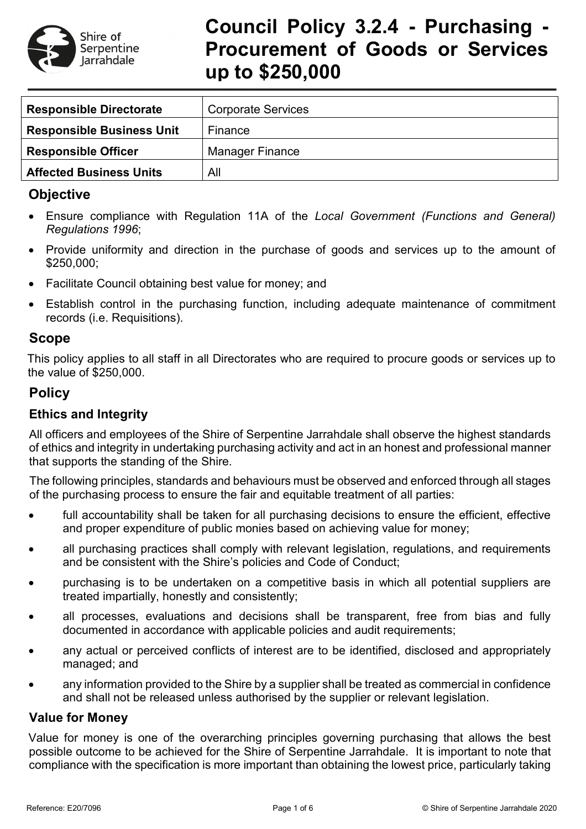

# **Council Policy 3.2.4 - Purchasing - Procurement of Goods or Services up to \$250,000**

| <b>Responsible Directorate</b>   | <b>Corporate Services</b> |
|----------------------------------|---------------------------|
| <b>Responsible Business Unit</b> | Finance                   |
| <b>Responsible Officer</b>       | <b>Manager Finance</b>    |
| <b>Affected Business Units</b>   | All                       |

# **Objective**

- Ensure compliance with Regulation 11A of the *Local Government (Functions and General) Regulations 1996*;
- Provide uniformity and direction in the purchase of goods and services up to the amount of \$250,000;
- Facilitate Council obtaining best value for money; and
- Establish control in the purchasing function, including adequate maintenance of commitment records (i.e. Requisitions).

## **Scope**

This policy applies to all staff in all Directorates who are required to procure goods or services up to the value of \$250,000.

# **Policy**

# **Ethics and Integrity**

All officers and employees of the Shire of Serpentine Jarrahdale shall observe the highest standards of ethics and integrity in undertaking purchasing activity and act in an honest and professional manner that supports the standing of the Shire.

The following principles, standards and behaviours must be observed and enforced through all stages of the purchasing process to ensure the fair and equitable treatment of all parties:

- full accountability shall be taken for all purchasing decisions to ensure the efficient, effective and proper expenditure of public monies based on achieving value for money;
- all purchasing practices shall comply with relevant legislation, regulations, and requirements and be consistent with the Shire's policies and Code of Conduct;
- purchasing is to be undertaken on a competitive basis in which all potential suppliers are treated impartially, honestly and consistently;
- all processes, evaluations and decisions shall be transparent, free from bias and fully documented in accordance with applicable policies and audit requirements;
- any actual or perceived conflicts of interest are to be identified, disclosed and appropriately managed; and
- any information provided to the Shire by a supplier shall be treated as commercial in confidence and shall not be released unless authorised by the supplier or relevant legislation.

## **Value for Money**

Value for money is one of the overarching principles governing purchasing that allows the best possible outcome to be achieved for the Shire of Serpentine Jarrahdale. It is important to note that compliance with the specification is more important than obtaining the lowest price, particularly taking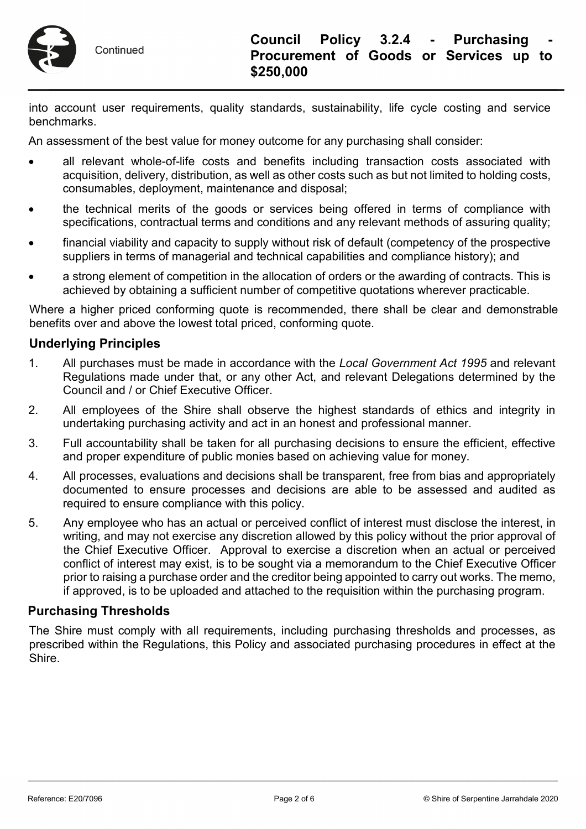

into account user requirements, quality standards, sustainability, life cycle costing and service benchmarks.

An assessment of the best value for money outcome for any purchasing shall consider:

- all relevant whole-of-life costs and benefits including transaction costs associated with acquisition, delivery, distribution, as well as other costs such as but not limited to holding costs, consumables, deployment, maintenance and disposal;
- the technical merits of the goods or services being offered in terms of compliance with specifications, contractual terms and conditions and any relevant methods of assuring quality;
- financial viability and capacity to supply without risk of default (competency of the prospective suppliers in terms of managerial and technical capabilities and compliance history); and
- a strong element of competition in the allocation of orders or the awarding of contracts. This is achieved by obtaining a sufficient number of competitive quotations wherever practicable.

Where a higher priced conforming quote is recommended, there shall be clear and demonstrable benefits over and above the lowest total priced, conforming quote.

#### **Underlying Principles**

- 1. All purchases must be made in accordance with the *Local Government Act 1995* and relevant Regulations made under that, or any other Act, and relevant Delegations determined by the Council and / or Chief Executive Officer.
- 2. All employees of the Shire shall observe the highest standards of ethics and integrity in undertaking purchasing activity and act in an honest and professional manner.
- 3. Full accountability shall be taken for all purchasing decisions to ensure the efficient, effective and proper expenditure of public monies based on achieving value for money.
- 4. All processes, evaluations and decisions shall be transparent, free from bias and appropriately documented to ensure processes and decisions are able to be assessed and audited as required to ensure compliance with this policy.
- 5. Any employee who has an actual or perceived conflict of interest must disclose the interest, in writing, and may not exercise any discretion allowed by this policy without the prior approval of the Chief Executive Officer. Approval to exercise a discretion when an actual or perceived conflict of interest may exist, is to be sought via a memorandum to the Chief Executive Officer prior to raising a purchase order and the creditor being appointed to carry out works. The memo, if approved, is to be uploaded and attached to the requisition within the purchasing program.

#### **Purchasing Thresholds**

The Shire must comply with all requirements, including purchasing thresholds and processes, as prescribed within the Regulations, this Policy and associated purchasing procedures in effect at the Shire.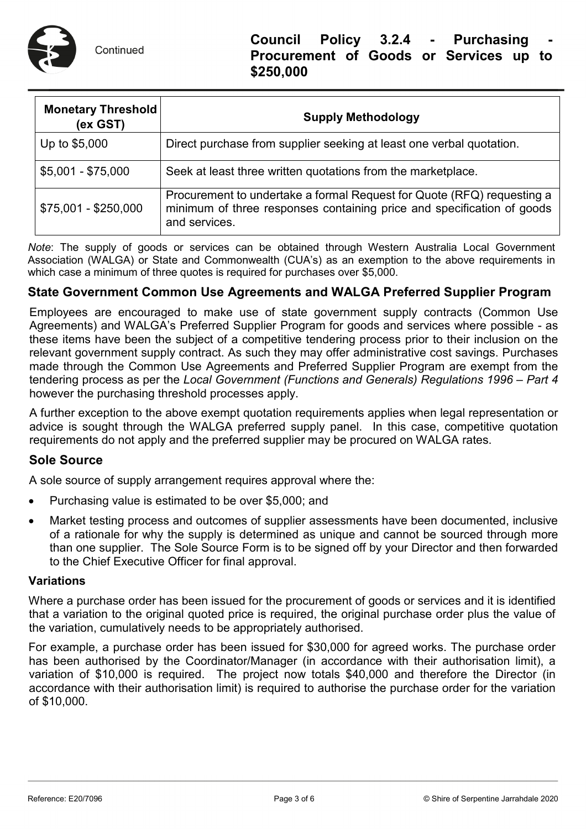

| <b>Monetary Threshold</b><br>(ex GST) | <b>Supply Methodology</b>                                                                                                                                         |  |  |
|---------------------------------------|-------------------------------------------------------------------------------------------------------------------------------------------------------------------|--|--|
| Up to \$5,000                         | Direct purchase from supplier seeking at least one verbal quotation.                                                                                              |  |  |
| $$5,001 - $75,000$                    | Seek at least three written quotations from the marketplace.                                                                                                      |  |  |
| $$75,001 - $250,000$                  | Procurement to undertake a formal Request for Quote (RFQ) requesting a<br>minimum of three responses containing price and specification of goods<br>and services. |  |  |

*Note*: The supply of goods or services can be obtained through Western Australia Local Government Association (WALGA) or State and Commonwealth (CUA's) as an exemption to the above requirements in which case a minimum of three quotes is required for purchases over \$5,000.

#### **State Government Common Use Agreements and WALGA Preferred Supplier Program**

Employees are encouraged to make use of state government supply contracts (Common Use Agreements) and WALGA's Preferred Supplier Program for goods and services where possible - as these items have been the subject of a competitive tendering process prior to their inclusion on the relevant government supply contract. As such they may offer administrative cost savings. Purchases made through the Common Use Agreements and Preferred Supplier Program are exempt from the tendering process as per the *Local Government (Functions and Generals) Regulations 1996 – Part 4* however the purchasing threshold processes apply.

A further exception to the above exempt quotation requirements applies when legal representation or advice is sought through the WALGA preferred supply panel. In this case, competitive quotation requirements do not apply and the preferred supplier may be procured on WALGA rates.

#### **Sole Source**

A sole source of supply arrangement requires approval where the:

- Purchasing value is estimated to be over \$5,000; and
- Market testing process and outcomes of supplier assessments have been documented, inclusive of a rationale for why the supply is determined as unique and cannot be sourced through more than one supplier. The Sole Source Form is to be signed off by your Director and then forwarded to the Chief Executive Officer for final approval.

#### **Variations**

Where a purchase order has been issued for the procurement of goods or services and it is identified that a variation to the original quoted price is required, the original purchase order plus the value of the variation, cumulatively needs to be appropriately authorised.

For example, a purchase order has been issued for \$30,000 for agreed works. The purchase order has been authorised by the Coordinator/Manager (in accordance with their authorisation limit), a variation of \$10,000 is required. The project now totals \$40,000 and therefore the Director (in accordance with their authorisation limit) is required to authorise the purchase order for the variation of \$10,000.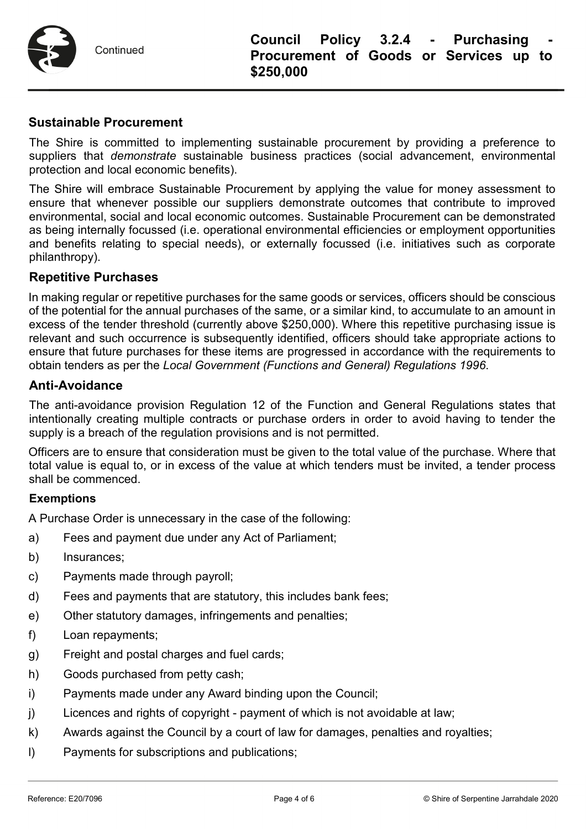

Continued

#### **Sustainable Procurement**

The Shire is committed to implementing sustainable procurement by providing a preference to suppliers that *demonstrate* sustainable business practices (social advancement, environmental protection and local economic benefits).

The Shire will embrace Sustainable Procurement by applying the value for money assessment to ensure that whenever possible our suppliers demonstrate outcomes that contribute to improved environmental, social and local economic outcomes. Sustainable Procurement can be demonstrated as being internally focussed (i.e. operational environmental efficiencies or employment opportunities and benefits relating to special needs), or externally focussed (i.e. initiatives such as corporate philanthropy).

#### **Repetitive Purchases**

In making regular or repetitive purchases for the same goods or services, officers should be conscious of the potential for the annual purchases of the same, or a similar kind, to accumulate to an amount in excess of the tender threshold (currently above \$250,000). Where this repetitive purchasing issue is relevant and such occurrence is subsequently identified, officers should take appropriate actions to ensure that future purchases for these items are progressed in accordance with the requirements to obtain tenders as per the *Local Government (Functions and General) Regulations 1996*.

#### **Anti-Avoidance**

The anti-avoidance provision Regulation 12 of the Function and General Regulations states that intentionally creating multiple contracts or purchase orders in order to avoid having to tender the supply is a breach of the regulation provisions and is not permitted.

Officers are to ensure that consideration must be given to the total value of the purchase. Where that total value is equal to, or in excess of the value at which tenders must be invited, a tender process shall be commenced.

#### **Exemptions**

A Purchase Order is unnecessary in the case of the following:

- a) Fees and payment due under any Act of Parliament;
- b) Insurances;
- c) Payments made through payroll;
- d) Fees and payments that are statutory, this includes bank fees;
- e) Other statutory damages, infringements and penalties;
- f) Loan repayments;
- g) Freight and postal charges and fuel cards;
- h) Goods purchased from petty cash;
- i) Payments made under any Award binding upon the Council;
- j) Licences and rights of copyright payment of which is not avoidable at law;
- k) Awards against the Council by a court of law for damages, penalties and royalties;
- l) Payments for subscriptions and publications;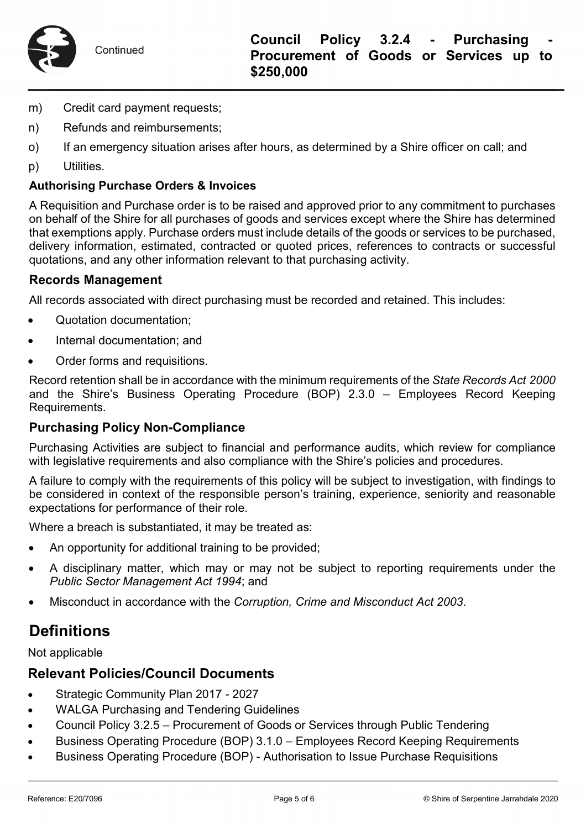

- m) Credit card payment requests;
- n) Refunds and reimbursements;
- o) If an emergency situation arises after hours, as determined by a Shire officer on call; and
- p) Utilities.

#### **Authorising Purchase Orders & Invoices**

A Requisition and Purchase order is to be raised and approved prior to any commitment to purchases on behalf of the Shire for all purchases of goods and services except where the Shire has determined that exemptions apply. Purchase orders must include details of the goods or services to be purchased, delivery information, estimated, contracted or quoted prices, references to contracts or successful quotations, and any other information relevant to that purchasing activity.

#### **Records Management**

All records associated with direct purchasing must be recorded and retained. This includes:

- Quotation documentation;
- Internal documentation: and
- Order forms and requisitions.

Record retention shall be in accordance with the minimum requirements of the *State Records Act 2000* and the Shire's Business Operating Procedure (BOP) 2.3.0 – Employees Record Keeping Requirements.

#### **Purchasing Policy Non-Compliance**

Purchasing Activities are subject to financial and performance audits, which review for compliance with legislative requirements and also compliance with the Shire's policies and procedures.

A failure to comply with the requirements of this policy will be subject to investigation, with findings to be considered in context of the responsible person's training, experience, seniority and reasonable expectations for performance of their role.

Where a breach is substantiated, it may be treated as:

- An opportunity for additional training to be provided;
- A disciplinary matter, which may or may not be subject to reporting requirements under the *Public Sector Management Act 1994*; and
- Misconduct in accordance with the *Corruption, Crime and Misconduct Act 2003*.

# **Definitions**

Not applicable

#### **Relevant Policies/Council Documents**

- Strategic Community Plan 2017 2027
- WALGA Purchasing and Tendering Guidelines
- Council Policy 3.2.5 Procurement of Goods or Services through Public Tendering
- Business Operating Procedure (BOP) 3.1.0 Employees Record Keeping Requirements
- Business Operating Procedure (BOP) Authorisation to Issue Purchase Requisitions